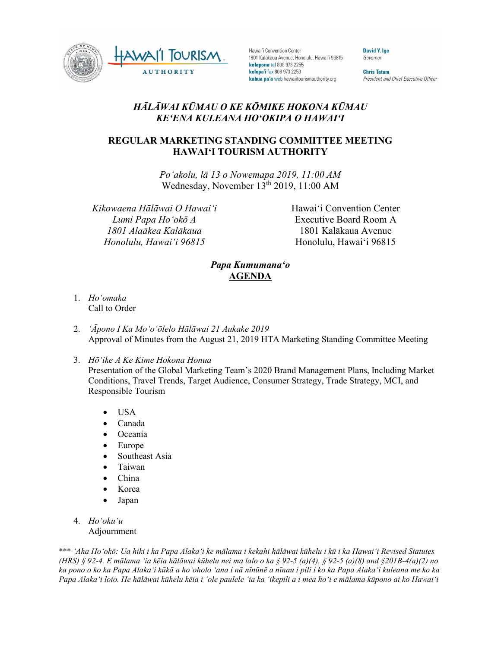

Hawai'i Convention Center 1801 Kalākaua Avenue, Honolulu, Hawai'i 96815 kelepona tel 808 973 2255 kelepa'i fax 808 973 2253 kahua pa'a web hawaiitourismauthority.org

**David Y. Ige** Governor

**Chris Tatum** President and Chief Executive Officer

## *HĀLĀWAI KŪMAU O KE KŌMIKE HOKONA KŪMAU KEʻENA KULEANA HOʻOKIPA O HAWAIʻI*

## **REGULAR MARKETING STANDING COMMITTEE MEETING HAWAI'I TOURISM AUTHORITY**

*Poʻakolu, lā 13 o Nowemapa 2019, 11:00 AM* Wednesday, November 13<sup>th</sup> 2019, 11:00 AM

*Kikowaena Hālāwai O Hawaiʻi Lumi Papa Hoʻokō A 1801 Alaākea Kalākaua Honolulu, Hawaiʻi 96815*

Hawai'i Convention Center Executive Board Room A 1801 Kalākaua Avenue Honolulu, Hawai'i 96815

## *Papa Kumumanaʻo* **AGENDA**

- 1. *Ho'omaka* Call to Order
- 2. *'Āpono I Ka Moʻoʻōlelo Hālāwai 21 Aukake 2019* Approval of Minutes from the August 21, 2019 HTA Marketing Standing Committee Meeting
- 3. *Hōʻike A Ke Kime Hokona Honua* Presentation of the Global Marketing Team's 2020 Brand Management Plans, Including Market Conditions, Travel Trends, Target Audience, Consumer Strategy, Trade Strategy, MCI, and Responsible Tourism
	- USA
	- Canada
	- Oceania
	- Europe
	- Southeast Asia
	- Taiwan
	- China
	- Korea
	- Japan
- 4. *Hoʻokuʻu* Adjournment

\*\*\* *ʻAha Hoʻokō: Ua hiki i ka Papa Alakaʻi ke mālama i kekahi hālāwai kūhelu i kū i ka Hawaiʻi Revised Statutes (HRS) § 92-4. E mālama ʻia kēia hālāwai kūhelu nei ma lalo o ka § 92-5 (a)(4), § 92-5 (a)(8) and §201B-4(a)(2) no ka pono o ko ka Papa Alakaʻi kūkā a hoʻoholo ʻana i nā nīnūnē a nīnau i pili i ko ka Papa Alakaʻi kuleana me ko ka Papa Alakaʻi loio. He hālāwai kūhelu kēia i ʻole paulele ʻia ka ʻikepili a i mea hoʻi e mālama kūpono ai ko Hawaiʻi*